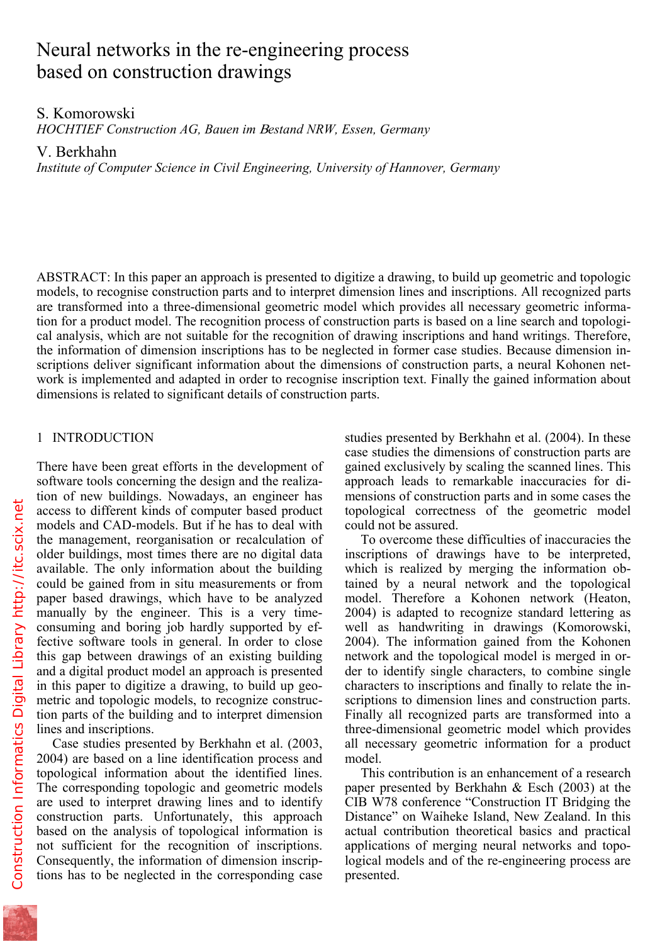# $\overline{\mathcal{O}}$  in the restriction in the restriction process in the restriction process in the restriction of  $\overline{\mathcal{O}}$  is the restriction of  $\overline{\mathcal{O}}$  is the restriction of  $\overline{\mathcal{O}}$  is the restriction of  $\overline{\mathcal{O}}$  based on construction drawings

S. Komorowski *HOCHTIEF Construction AG, Bauen im* Β*estand NRW, Essen, Germany*

V. Berkhahn

*Institute of Computer Science in Civil Engineering, University of Hannover, Germany* 

ABSTRACT: In this paper an approach is presented to digitize a drawing, to build up geometric and topologic models, to recognise construction parts and to interpret dimension lines and inscriptions. All recognized parts are transformed into a three-dimensional geometric model which provides all necessary geometric information for a product model. The recognition process of construction parts is based on a line search and topological analysis, which are not suitable for the recognition of drawing inscriptions and hand writings. Therefore, the information of dimension inscriptions has to be neglected in former case studies. Because dimension inscriptions deliver significant information about the dimensions of construction parts, a neural Kohonen network is implemented and adapted in order to recognise inscription text. Finally the gained information about dimensions is related to significant details of construction parts.

## 1 INTRODUCTION

There have been great efforts in the development of software tools concerning the design and the realization of new buildings. Nowadays, an engineer has access to different kinds of computer based product models and CAD-models. But if he has to deal with the management, reorganisation or recalculation of older buildings, most times there are no digital data available. The only information about the building could be gained from in situ measurements or from paper based drawings, which have to be analyzed manually by the engineer. This is a very timeconsuming and boring job hardly supported by effective software tools in general. In order to close this gap between drawings of an existing building and a digital product model an approach is presented in this paper to digitize a drawing, to build up geometric and topologic models, to recognize construction parts of the building and to interpret dimension lines and inscriptions.

Case studies presented by Berkhahn et al. (2003, 2004) are based on a line identification process and topological information about the identified lines. The corresponding topologic and geometric models are used to interpret drawing lines and to identify construction parts. Unfortunately, this approach based on the analysis of topological information is not sufficient for the recognition of inscriptions. Consequently, the information of dimension inscriptions has to be neglected in the corresponding case studies presented by Berkhahn et al. (2004). In these case studies the dimensions of construction parts are gained exclusively by scaling the scanned lines. This approach leads to remarkable inaccuracies for dimensions of construction parts and in some cases the topological correctness of the geometric model could not be assured.

To overcome these difficulties of inaccuracies the inscriptions of drawings have to be interpreted, which is realized by merging the information obtained by a neural network and the topological model. Therefore a Kohonen network (Heaton, 2004) is adapted to recognize standard lettering as well as handwriting in drawings (Komorowski, 2004). The information gained from the Kohonen network and the topological model is merged in order to identify single characters, to combine single characters to inscriptions and finally to relate the inscriptions to dimension lines and construction parts. Finally all recognized parts are transformed into a three-dimensional geometric model which provides all necessary geometric information for a product model.

This contribution is an enhancement of a research paper presented by Berkhahn & Esch (2003) at the CIB W78 conference "Construction IT Bridging the Distance" on Waiheke Island, New Zealand. In this actual contribution theoretical basics and practical applications of merging neural networks and topological models and of the re-engineering process are presented.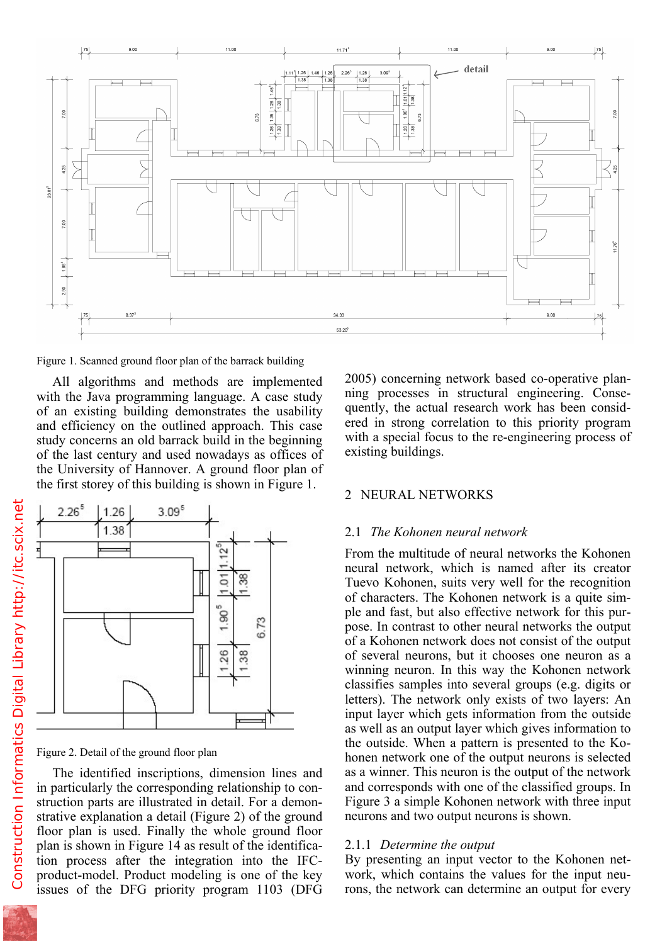

Figure 1. Scanned ground floor plan of the barrack building

All algorithms and methods are implemented with the Java programming language. A case study of an existing building demonstrates the usability and efficiency on the outlined approach. This case study concerns an old barrack build in the beginning of the last century and used nowadays as offices of the University of Hannover. A ground floor plan of the first storey of this building is shown in Figure 1.



Figure 2. Detail of the ground floor plan

The identified inscriptions, dimension lines and in particularly the corresponding relationship to construction parts are illustrated in detail. For a demonstrative explanation a detail (Figure 2) of the ground floor plan is used. Finally the whole ground floor plan is shown in Figure 14 as result of the identification process after the integration into the IFCproduct-model. Product modeling is one of the key issues of the DFG priority program 1103 (DFG

2005) concerning network based co-operative planning processes in structural engineering. Consequently, the actual research work has been considered in strong correlation to this priority program with a special focus to the re-engineering process of existing buildings.

#### 2 NEURAL NETWORKS

#### 2.1 *The Kohonen neural network*

From the multitude of neural networks the Kohonen neural network, which is named after its creator Tuevo Kohonen, suits very well for the recognition of characters. The Kohonen network is a quite simple and fast, but also effective network for this purpose. In contrast to other neural networks the output of a Kohonen network does not consist of the output of several neurons, but it chooses one neuron as a winning neuron. In this way the Kohonen network classifies samples into several groups (e.g. digits or letters). The network only exists of two layers: An input layer which gets information from the outside as well as an output layer which gives information to the outside. When a pattern is presented to the Kohonen network one of the output neurons is selected as a winner. This neuron is the output of the network and corresponds with one of the classified groups. In Figure 3 a simple Kohonen network with three input neurons and two output neurons is shown.

#### 2.1.1 *Determine the output*

By presenting an input vector to the Kohonen network, which contains the values for the input neurons, the network can determine an output for every

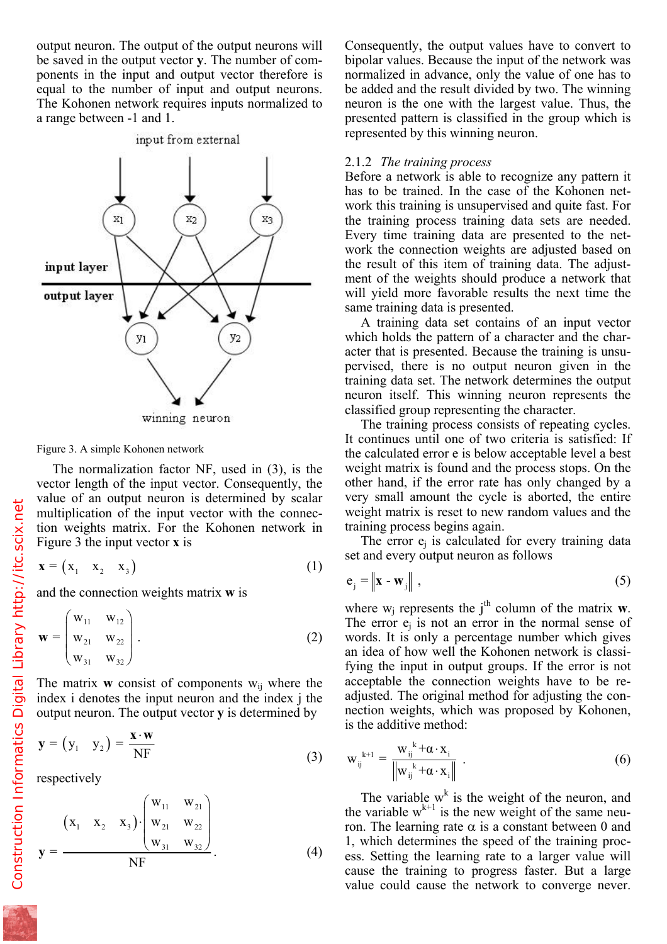be saved in the output vector **y**. The number of components in the input and output vector therefore is equal to the number of input and output neurons. The Kohonen network requires inputs normalized to a range between -1 and 1.



winning neuron

Figure 3. A simple Kohonen network

The normalization factor NF, used in (3), is the vector length of the input vector. Consequently, the value of an output neuron is determined by scalar multiplication of the input vector with the connection weights matrix. For the Kohonen network in Figure 3 the input vector **x** is

$$
\mathbf{x} = \begin{pmatrix} x_1 & x_2 & x_3 \end{pmatrix} \tag{1}
$$

and the connection weights matrix **w** is

$$
\mathbf{w} = \begin{pmatrix} w_{11} & w_{12} \\ w_{21} & w_{22} \\ w_{31} & w_{32} \end{pmatrix} .
$$
 (2)

The matrix **w** consist of components  $w_{ij}$  where the index i denotes the input neuron and the index j the output neuron. The output vector **y** is determined by

$$
\mathbf{y} = (y_1 \quad y_2) = \frac{\mathbf{x} \cdot \mathbf{w}}{NF}
$$
 (3)

respectively

$$
\mathbf{y} = \frac{(\mathbf{x}_1 \quad \mathbf{x}_2 \quad \mathbf{x}_3) \cdot \begin{pmatrix} \mathbf{w}_{11} & \mathbf{w}_{21} \\ \mathbf{w}_{21} & \mathbf{w}_{22} \\ \mathbf{w}_{31} & \mathbf{w}_{32} \end{pmatrix}}{\text{NF}}.
$$
 (4)

bipolar values. Because the input of the network was normalized in advance, only the value of one has to be added and the result divided by two. The winning neuron is the one with the largest value. Thus, the presented pattern is classified in the group which is represented by this winning neuron.

#### 2.1.2 *The training process*

Before a network is able to recognize any pattern it has to be trained. In the case of the Kohonen network this training is unsupervised and quite fast. For the training process training data sets are needed. Every time training data are presented to the network the connection weights are adjusted based on the result of this item of training data. The adjustment of the weights should produce a network that will yield more favorable results the next time the same training data is presented.

A training data set contains of an input vector which holds the pattern of a character and the character that is presented. Because the training is unsupervised, there is no output neuron given in the training data set. The network determines the output neuron itself. This winning neuron represents the classified group representing the character.

The training process consists of repeating cycles. It continues until one of two criteria is satisfied: If the calculated error e is below acceptable level a best weight matrix is found and the process stops. On the other hand, if the error rate has only changed by a very small amount the cycle is aborted, the entire weight matrix is reset to new random values and the training process begins again.

The error  $e_i$  is calculated for every training data set and every output neuron as follows

$$
\mathbf{e}_{j} = \left\| \mathbf{x} - \mathbf{w}_{j} \right\|,
$$
 (5)

where  $w_j$  represents the j<sup>th</sup> column of the matrix  $w$ . The error  $e_i$  is not an error in the normal sense of words. It is only a percentage number which gives an idea of how well the Kohonen network is classifying the input in output groups. If the error is not acceptable the connection weights have to be readjusted. The original method for adjusting the connection weights, which was proposed by Kohonen, is the additive method:

$$
\mathbf{w}_{ij}^{k+1} = \frac{\mathbf{w}_{ij}^{k} + \boldsymbol{\alpha} \cdot \mathbf{x}_{i}}{\left\| \mathbf{w}_{ij}^{k} + \boldsymbol{\alpha} \cdot \mathbf{x}_{i} \right\|} \tag{6}
$$

The variable  $w^k$  is the weight of the neuron, and the variable  $w^{k+1}$  is the new weight of the same neuron. The learning rate  $\alpha$  is a constant between 0 and 1, which determines the speed of the training process. Setting the learning rate to a larger value will cause the training to progress faster. But a large value could cause the network to converge never.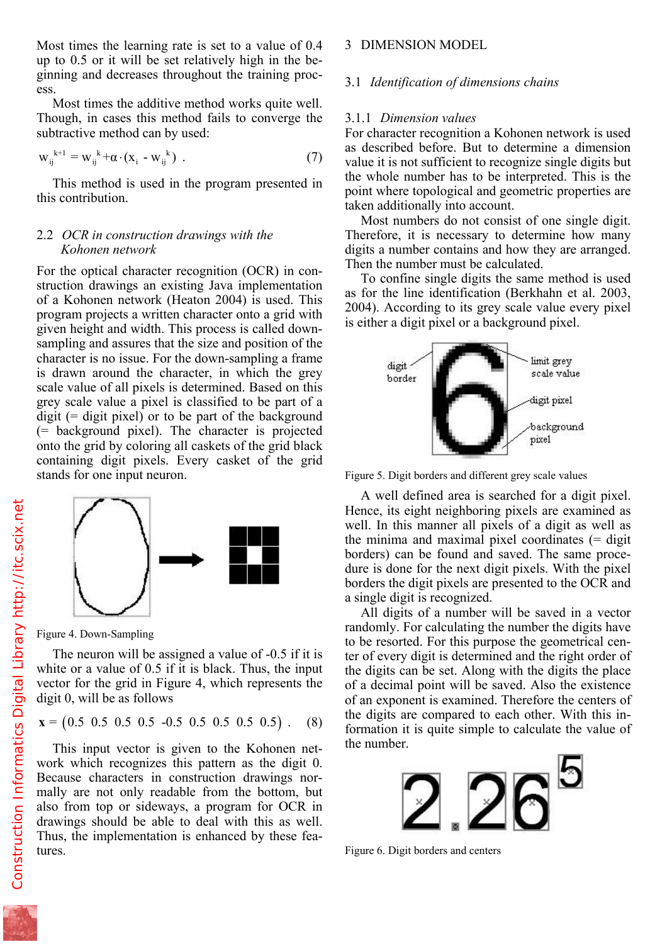up to 0.5 or it will be set relatively high in the beginning and decreases throughout the training process.

Most times the additive method works quite well. Though, in cases this method fails to converge the subtractive method can by used:

$$
w_{ij}^{k+1} = w_{ij}^{k} + \alpha \cdot (x_i - w_{ij}^{k}). \qquad (7)
$$

This method is used in the program presented in this contribution.

## 2.2 *OCR in construction drawings with the Kohonen network*

For the optical character recognition (OCR) in construction drawings an existing Java implementation of a Kohonen network (Heaton 2004) is used. This program projects a written character onto a grid with given height and width. This process is called downsampling and assures that the size and position of the character is no issue. For the down-sampling a frame is drawn around the character, in which the grey scale value of all pixels is determined. Based on this grey scale value a pixel is classified to be part of a  $digit$  (= digit pixel) or to be part of the background (= background pixel). The character is projected onto the grid by coloring all caskets of the grid black containing digit pixels. Every casket of the grid stands for one input neuron.



Figure 4. Down-Sampling

The neuron will be assigned a value of -0.5 if it is white or a value of 0.5 if it is black. Thus, the input vector for the grid in Figure 4, which represents the digit 0, will be as follows

$$
\mathbf{x} = (0.5 \ 0.5 \ 0.5 \ 0.5 \ -0.5 \ 0.5 \ 0.5 \ 0.5 \ 0.5). \tag{8}
$$

This input vector is given to the Kohonen network which recognizes this pattern as the digit 0. Because characters in construction drawings normally are not only readable from the bottom, but also from top or sideways, a program for OCR in drawings should be able to deal with this as well. Thus, the implementation is enhanced by these features.

#### 3.1 *Identification of dimensions chains*

#### 3.1.1 *Dimension values*

For character recognition a Kohonen network is used as described before. But to determine a dimension value it is not sufficient to recognize single digits but the whole number has to be interpreted. This is the point where topological and geometric properties are taken additionally into account.

Most numbers do not consist of one single digit. Therefore, it is necessary to determine how many digits a number contains and how they are arranged. Then the number must be calculated.

To confine single digits the same method is used as for the line identification (Berkhahn et al. 2003, 2004). According to its grey scale value every pixel is either a digit pixel or a background pixel.



Figure 5. Digit borders and different grey scale values

A well defined area is searched for a digit pixel. Hence, its eight neighboring pixels are examined as well. In this manner all pixels of a digit as well as the minima and maximal pixel coordinates  $(=$  digit borders) can be found and saved. The same procedure is done for the next digit pixels. With the pixel borders the digit pixels are presented to the OCR and a single digit is recognized.

All digits of a number will be saved in a vector randomly. For calculating the number the digits have to be resorted. For this purpose the geometrical center of every digit is determined and the right order of the digits can be set. Along with the digits the place of a decimal point will be saved. Also the existence of an exponent is examined. Therefore the centers of the digits are compared to each other. With this information it is quite simple to calculate the value of the number.



Figure 6. Digit borders and centers

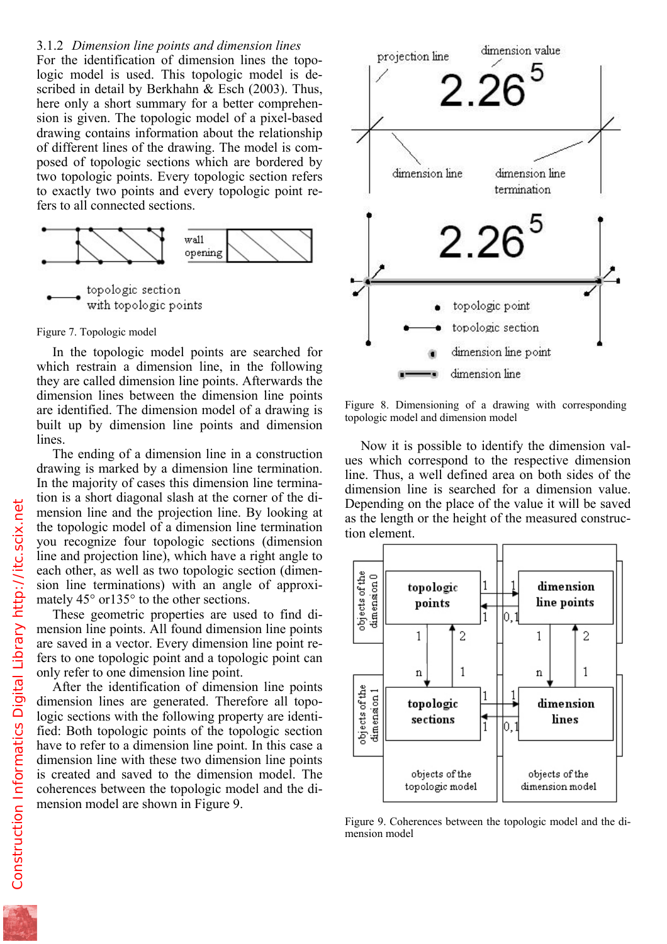For the identification of dimension lines the topologic model is used. This topologic model is described in detail by Berkhahn & Esch (2003). Thus, here only a short summary for a better comprehension is given. The topologic model of a pixel-based drawing contains information about the relationship of different lines of the drawing. The model is composed of topologic sections which are bordered by two topologic points. Every topologic section refers to exactly two points and every topologic point refers to all connected sections.



## Figure 7. Topologic model

In the topologic model points are searched for which restrain a dimension line, in the following they are called dimension line points. Afterwards the dimension lines between the dimension line points are identified. The dimension model of a drawing is built up by dimension line points and dimension lines.

The ending of a dimension line in a construction drawing is marked by a dimension line termination. In the majority of cases this dimension line termination is a short diagonal slash at the corner of the dimension line and the projection line. By looking at the topologic model of a dimension line termination you recognize four topologic sections (dimension line and projection line), which have a right angle to each other, as well as two topologic section (dimension line terminations) with an angle of approximately 45° or135° to the other sections.

These geometric properties are used to find dimension line points. All found dimension line points are saved in a vector. Every dimension line point refers to one topologic point and a topologic point can only refer to one dimension line point.

After the identification of dimension line points dimension lines are generated. Therefore all topologic sections with the following property are identified: Both topologic points of the topologic section have to refer to a dimension line point. In this case a dimension line with these two dimension line points is created and saved to the dimension model. The coherences between the topologic model and the dimension model are shown in Figure 9.



Figure 8. Dimensioning of a drawing with corresponding topologic model and dimension model

Now it is possible to identify the dimension values which correspond to the respective dimension line. Thus, a well defined area on both sides of the dimension line is searched for a dimension value. Depending on the place of the value it will be saved as the length or the height of the measured construction element.



Figure 9. Coherences between the topologic model and the dimension model

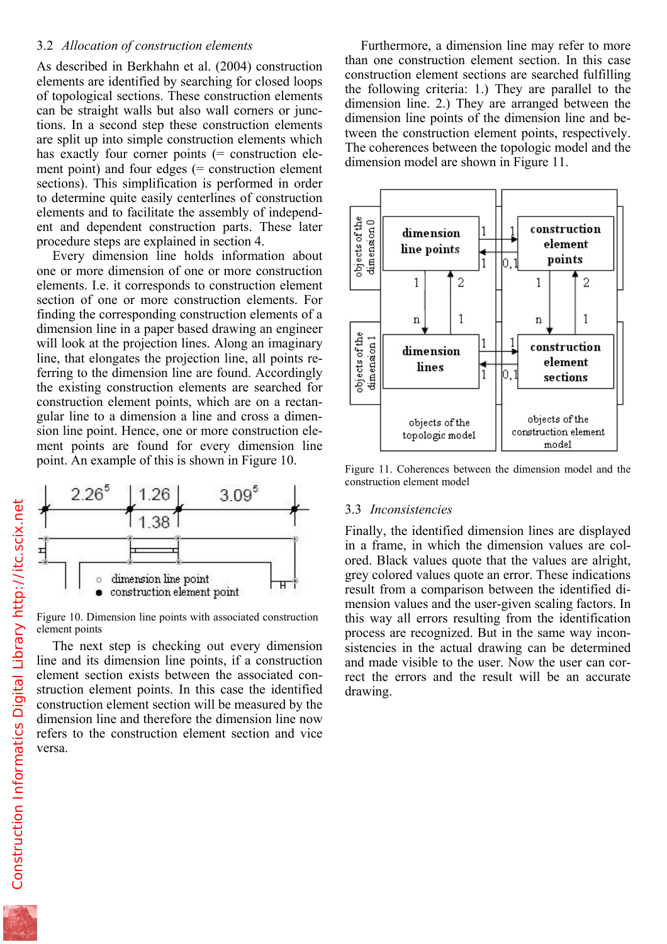As described in Berkhahn et al. (2004) construction elements are identified by searching for closed loops of topological sections. These construction elements can be straight walls but also wall corners or junctions. In a second step these construction elements are split up into simple construction elements which has exactly four corner points (= construction element point) and four edges  $(=$  construction element sections). This simplification is performed in order to determine quite easily centerlines of construction elements and to facilitate the assembly of independent and dependent construction parts. These later procedure steps are explained in section 4.

Every dimension line holds information about one or more dimension of one or more construction elements. I.e. it corresponds to construction element section of one or more construction elements. For finding the corresponding construction elements of a dimension line in a paper based drawing an engineer will look at the projection lines. Along an imaginary line, that elongates the projection line, all points referring to the dimension line are found. Accordingly the existing construction elements are searched for construction element points, which are on a rectangular line to a dimension a line and cross a dimension line point. Hence, one or more construction element points are found for every dimension line point. An example of this is shown in Figure 10.



Figure 10. Dimension line points with associated construction element points

The next step is checking out every dimension line and its dimension line points, if a construction element section exists between the associated construction element points. In this case the identified construction element section will be measured by the dimension line and therefore the dimension line now refers to the construction element section and vice versa.

than one construction element section. In this case construction element sections are searched fulfilling the following criteria: 1.) They are parallel to the dimension line. 2.) They are arranged between the dimension line points of the dimension line and between the construction element points, respectively. The coherences between the topologic model and the dimension model are shown in Figure 11.



Figure 11. Coherences between the dimension model and the construction element model

#### 3.3 *Inconsistencies*

Finally, the identified dimension lines are displayed in a frame, in which the dimension values are colored. Black values quote that the values are alright, grey colored values quote an error. These indications result from a comparison between the identified dimension values and the user-given scaling factors. In this way all errors resulting from the identification process are recognized. But in the same way inconsistencies in the actual drawing can be determined and made visible to the user. Now the user can correct the errors and the result will be an accurate drawing.

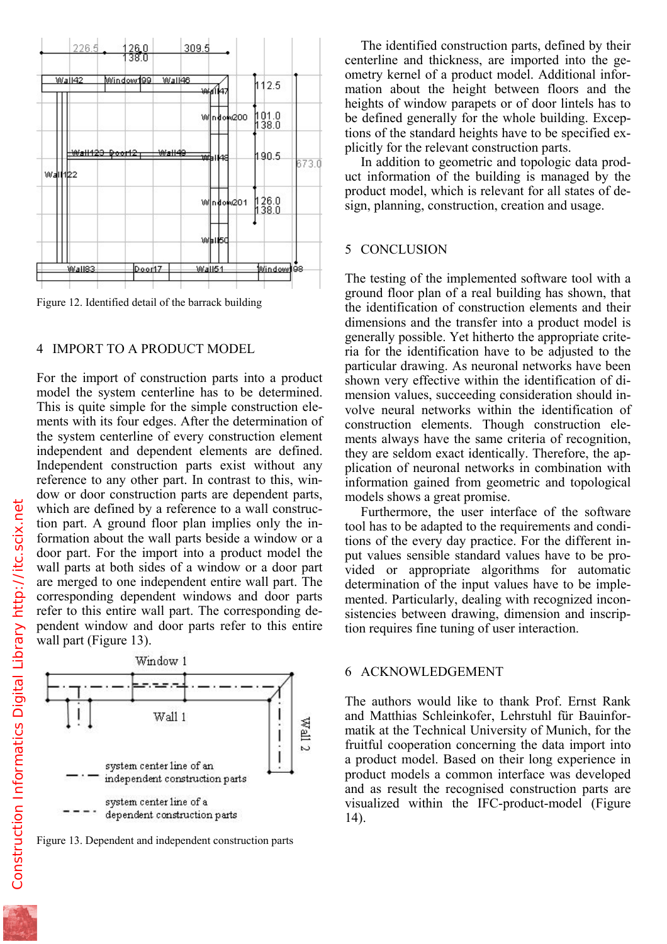

Figure 12. Identified detail of the barrack building

#### 4 IMPORT TO A PRODUCT MODEL

For the import of construction parts into a product model the system centerline has to be determined. This is quite simple for the simple construction elements with its four edges. After the determination of the system centerline of every construction element independent and dependent elements are defined. Independent construction parts exist without any reference to any other part. In contrast to this, window or door construction parts are dependent parts, which are defined by a reference to a wall construction part. A ground floor plan implies only the information about the wall parts beside a window or a door part. For the import into a product model the wall parts at both sides of a window or a door part are merged to one independent entire wall part. The corresponding dependent windows and door parts refer to this entire wall part. The corresponding dependent window and door parts refer to this entire wall part (Figure 13).



Figure 13. Dependent and independent construction parts

centerline and thickness, are imported into the geometry kernel of a product model. Additional information about the height between floors and the heights of window parapets or of door lintels has to be defined generally for the whole building. Exceptions of the standard heights have to be specified explicitly for the relevant construction parts.

In addition to geometric and topologic data product information of the building is managed by the product model, which is relevant for all states of design, planning, construction, creation and usage.

## 5 CONCLUSION

The testing of the implemented software tool with a ground floor plan of a real building has shown, that the identification of construction elements and their dimensions and the transfer into a product model is generally possible. Yet hitherto the appropriate criteria for the identification have to be adjusted to the particular drawing. As neuronal networks have been shown very effective within the identification of dimension values, succeeding consideration should involve neural networks within the identification of construction elements. Though construction elements always have the same criteria of recognition, they are seldom exact identically. Therefore, the application of neuronal networks in combination with information gained from geometric and topological models shows a great promise.

Furthermore, the user interface of the software tool has to be adapted to the requirements and conditions of the every day practice. For the different input values sensible standard values have to be provided or appropriate algorithms for automatic determination of the input values have to be implemented. Particularly, dealing with recognized inconsistencies between drawing, dimension and inscription requires fine tuning of user interaction.

#### 6 ACKNOWLEDGEMENT

The authors would like to thank Prof. Ernst Rank and Matthias Schleinkofer, Lehrstuhl für Bauinformatik at the Technical University of Munich, for the fruitful cooperation concerning the data import into a product model. Based on their long experience in product models a common interface was developed and as result the recognised construction parts are visualized within the IFC-product-model (Figure 14).